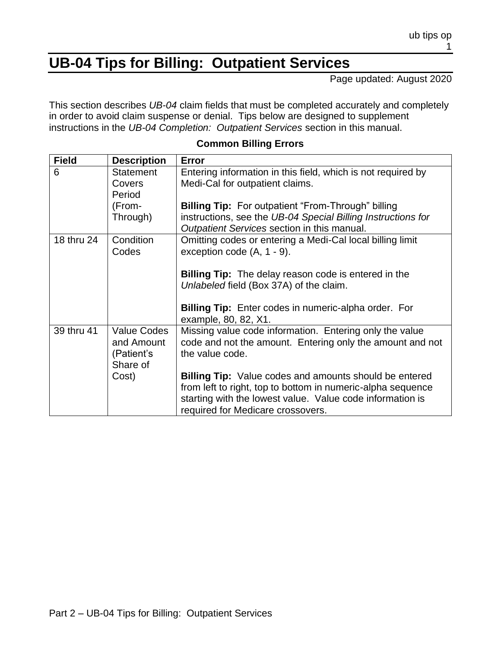## **UB-04 Tips for Billing: Outpatient Services**

Page updated: August 2020

This section describes *UB-04* claim fields that must be completed accurately and completely in order to avoid claim suspense or denial. Tips below are designed to supplement instructions in the *UB-04 Completion: Outpatient Services* section in this manual.

| <b>Field</b> | <b>Description</b>                                  | Error                                                                                                                                                                                                                          |
|--------------|-----------------------------------------------------|--------------------------------------------------------------------------------------------------------------------------------------------------------------------------------------------------------------------------------|
| 6            | <b>Statement</b><br>Covers<br>Period                | Entering information in this field, which is not required by<br>Medi-Cal for outpatient claims.                                                                                                                                |
|              | (From-                                              | <b>Billing Tip:</b> For outpatient "From-Through" billing                                                                                                                                                                      |
|              | Through)                                            | instructions, see the UB-04 Special Billing Instructions for<br>Outpatient Services section in this manual.                                                                                                                    |
| 18 thru 24   | Condition<br>Codes                                  | Omitting codes or entering a Medi-Cal local billing limit<br>exception code $(A, 1 - 9)$ .                                                                                                                                     |
|              |                                                     | <b>Billing Tip:</b> The delay reason code is entered in the<br>Unlabeled field (Box 37A) of the claim.                                                                                                                         |
|              |                                                     | Billing Tip: Enter codes in numeric-alpha order. For<br>example, 80, 82, X1.                                                                                                                                                   |
| 39 thru 41   | Value Codes<br>and Amount<br>(Patient's<br>Share of | Missing value code information. Entering only the value<br>code and not the amount. Entering only the amount and not<br>the value code.                                                                                        |
|              | Cost)                                               | <b>Billing Tip:</b> Value codes and amounts should be entered<br>from left to right, top to bottom in numeric-alpha sequence<br>starting with the lowest value. Value code information is<br>required for Medicare crossovers. |

#### **Common Billing Errors**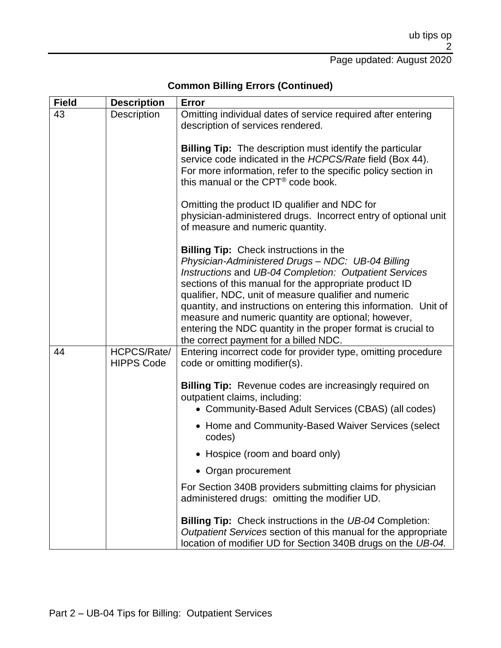# **Common Billing Errors (Continued)**

| <b>Field</b> | <b>Description</b>               | Error                                                                                                                                                                                                                                                                                                                                                                                                                                                                                                               |
|--------------|----------------------------------|---------------------------------------------------------------------------------------------------------------------------------------------------------------------------------------------------------------------------------------------------------------------------------------------------------------------------------------------------------------------------------------------------------------------------------------------------------------------------------------------------------------------|
| 43           | Description                      | Omitting individual dates of service required after entering<br>description of services rendered.                                                                                                                                                                                                                                                                                                                                                                                                                   |
|              |                                  | <b>Billing Tip:</b> The description must identify the particular<br>service code indicated in the HCPCS/Rate field (Box 44).<br>For more information, refer to the specific policy section in<br>this manual or the CPT <sup>®</sup> code book.                                                                                                                                                                                                                                                                     |
|              |                                  | Omitting the product ID qualifier and NDC for<br>physician-administered drugs. Incorrect entry of optional unit<br>of measure and numeric quantity.                                                                                                                                                                                                                                                                                                                                                                 |
|              |                                  | <b>Billing Tip:</b> Check instructions in the<br>Physician-Administered Drugs - NDC: UB-04 Billing<br>Instructions and UB-04 Completion: Outpatient Services<br>sections of this manual for the appropriate product ID<br>qualifier, NDC, unit of measure qualifier and numeric<br>quantity, and instructions on entering this information. Unit of<br>measure and numeric quantity are optional; however,<br>entering the NDC quantity in the proper format is crucial to<br>the correct payment for a billed NDC. |
| 44           | HCPCS/Rate/<br><b>HIPPS Code</b> | Entering incorrect code for provider type, omitting procedure<br>code or omitting modifier(s).<br><b>Billing Tip:</b> Revenue codes are increasingly required on<br>outpatient claims, including:<br>• Community-Based Adult Services (CBAS) (all codes)                                                                                                                                                                                                                                                            |
|              |                                  | • Home and Community-Based Waiver Services (select<br>codes)                                                                                                                                                                                                                                                                                                                                                                                                                                                        |
|              |                                  | • Hospice (room and board only)                                                                                                                                                                                                                                                                                                                                                                                                                                                                                     |
|              |                                  | • Organ procurement                                                                                                                                                                                                                                                                                                                                                                                                                                                                                                 |
|              |                                  | For Section 340B providers submitting claims for physician<br>administered drugs: omitting the modifier UD.                                                                                                                                                                                                                                                                                                                                                                                                         |
|              |                                  | <b>Billing Tip:</b> Check instructions in the UB-04 Completion:<br>Outpatient Services section of this manual for the appropriate<br>location of modifier UD for Section 340B drugs on the UB-04.                                                                                                                                                                                                                                                                                                                   |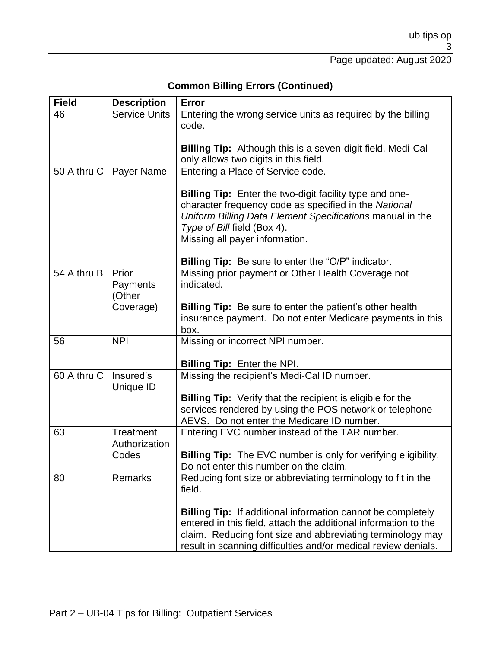Page updated: August 2020

### **Common Billing Errors (Continued)**

| <b>Field</b> | <b>Description</b>   | <b>Error</b>                                                                                                                 |
|--------------|----------------------|------------------------------------------------------------------------------------------------------------------------------|
| 46           | <b>Service Units</b> | Entering the wrong service units as required by the billing                                                                  |
|              |                      | code.                                                                                                                        |
|              |                      |                                                                                                                              |
|              |                      | <b>Billing Tip:</b> Although this is a seven-digit field, Medi-Cal<br>only allows two digits in this field.                  |
| 50 A thru C  | Payer Name           | Entering a Place of Service code.                                                                                            |
|              |                      |                                                                                                                              |
|              |                      | Billing Tip: Enter the two-digit facility type and one-                                                                      |
|              |                      | character frequency code as specified in the National                                                                        |
|              |                      | Uniform Billing Data Element Specifications manual in the                                                                    |
|              |                      | Type of Bill field (Box 4).                                                                                                  |
|              |                      | Missing all payer information.                                                                                               |
|              |                      |                                                                                                                              |
|              |                      | <b>Billing Tip:</b> Be sure to enter the "O/P" indicator.                                                                    |
| 54 A thru B  | Prior                | Missing prior payment or Other Health Coverage not                                                                           |
|              | Payments             | indicated.                                                                                                                   |
|              | (Other               |                                                                                                                              |
|              | Coverage)            | <b>Billing Tip:</b> Be sure to enter the patient's other health<br>insurance payment. Do not enter Medicare payments in this |
|              |                      | box.                                                                                                                         |
| 56           | <b>NPI</b>           | Missing or incorrect NPI number.                                                                                             |
|              |                      |                                                                                                                              |
|              |                      | <b>Billing Tip: Enter the NPI.</b>                                                                                           |
| 60 A thru C  | Insured's            | Missing the recipient's Medi-Cal ID number.                                                                                  |
|              | Unique ID            |                                                                                                                              |
|              |                      | <b>Billing Tip:</b> Verify that the recipient is eligible for the                                                            |
|              |                      | services rendered by using the POS network or telephone                                                                      |
|              |                      | AEVS. Do not enter the Medicare ID number.                                                                                   |
| 63           | <b>Treatment</b>     | Entering EVC number instead of the TAR number.                                                                               |
|              | Authorization        |                                                                                                                              |
|              | Codes                | <b>Billing Tip:</b> The EVC number is only for verifying eligibility.                                                        |
|              | <b>Remarks</b>       | Do not enter this number on the claim.                                                                                       |
| 80           |                      | Reducing font size or abbreviating terminology to fit in the<br>field.                                                       |
|              |                      |                                                                                                                              |
|              |                      | <b>Billing Tip:</b> If additional information cannot be completely                                                           |
|              |                      | entered in this field, attach the additional information to the                                                              |
|              |                      | claim. Reducing font size and abbreviating terminology may                                                                   |
|              |                      | result in scanning difficulties and/or medical review denials.                                                               |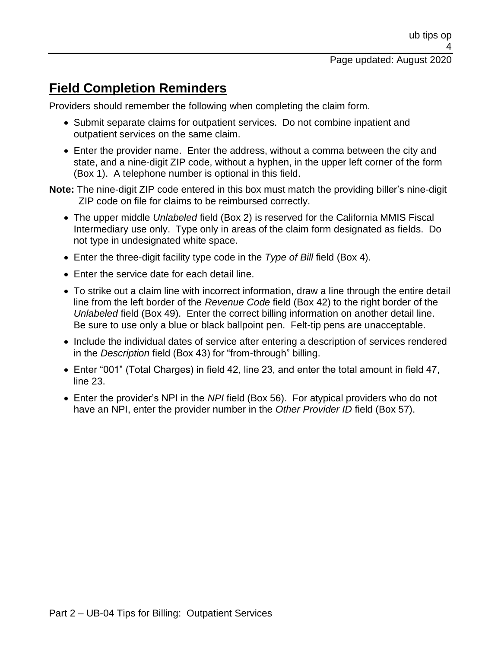#### Page updated: August 2020

## **Field Completion Reminders**

Providers should remember the following when completing the claim form.

- Submit separate claims for outpatient services. Do not combine inpatient and outpatient services on the same claim.
- Enter the provider name. Enter the address, without a comma between the city and state, and a nine-digit ZIP code, without a hyphen, in the upper left corner of the form (Box 1). A telephone number is optional in this field.
- **Note:** The nine-digit ZIP code entered in this box must match the providing biller's nine-digit ZIP code on file for claims to be reimbursed correctly.
	- The upper middle *Unlabeled* field (Box 2) is reserved for the California MMIS Fiscal Intermediary use only. Type only in areas of the claim form designated as fields. Do not type in undesignated white space.
	- Enter the three-digit facility type code in the *Type of Bill* field (Box 4).
	- Enter the service date for each detail line.
	- To strike out a claim line with incorrect information, draw a line through the entire detail line from the left border of the *Revenue Code* field (Box 42) to the right border of the *Unlabeled* field (Box 49). Enter the correct billing information on another detail line. Be sure to use only a blue or black ballpoint pen. Felt-tip pens are unacceptable.
	- Include the individual dates of service after entering a description of services rendered in the *Description* field (Box 43) for "from-through" billing.
	- Enter "001" (Total Charges) in field 42, line 23, and enter the total amount in field 47, line 23.
	- Enter the provider's NPI in the *NPI* field (Box 56). For atypical providers who do not have an NPI, enter the provider number in the *Other Provider ID* field (Box 57).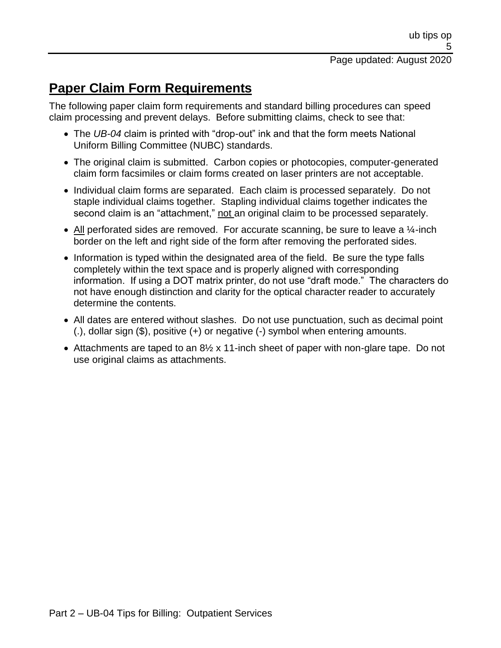## **Paper Claim Form Requirements**

The following paper claim form requirements and standard billing procedures can speed claim processing and prevent delays. Before submitting claims, check to see that:

- The *UB-04* claim is printed with "drop-out" ink and that the form meets National Uniform Billing Committee (NUBC) standards.
- The original claim is submitted. Carbon copies or photocopies, computer-generated claim form facsimiles or claim forms created on laser printers are not acceptable.
- Individual claim forms are separated. Each claim is processed separately. Do not staple individual claims together. Stapling individual claims together indicates the second claim is an "attachment," not an original claim to be processed separately.
- All perforated sides are removed. For accurate scanning, be sure to leave a  $\frac{1}{4}$ -inch border on the left and right side of the form after removing the perforated sides.
- Information is typed within the designated area of the field. Be sure the type falls completely within the text space and is properly aligned with corresponding information. If using a DOT matrix printer, do not use "draft mode." The characters do not have enough distinction and clarity for the optical character reader to accurately determine the contents.
- All dates are entered without slashes. Do not use punctuation, such as decimal point (.), dollar sign (\$), positive (+) or negative (-) symbol when entering amounts.
- Attachments are taped to an 8<sup>1/2</sup> x 11-inch sheet of paper with non-glare tape. Do not use original claims as attachments.